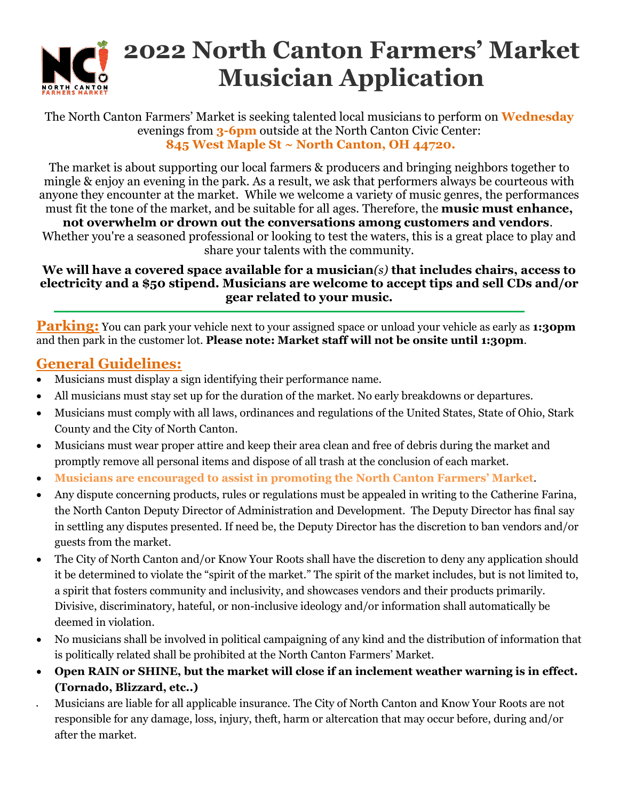

# **2022 North Canton Farmers' Market Musician Application**

### The North Canton Farmers' Market is seeking talented local musicians to perform on **Wednesday** evenings from **3-6pm** outside at the North Canton Civic Center: **845 West Maple St ~ North Canton, OH 44720.**

The market is about supporting our local farmers & producers and bringing neighbors together to mingle & enjoy an evening in the park. As a result, we ask that performers always be courteous with anyone they encounter at the market. While we welcome a variety of music genres, the performances must fit the tone of the market, and be suitable for all ages. Therefore, the **music must enhance,** 

**not overwhelm or drown out the conversations among customers and vendors**. Whether you're a seasoned professional or looking to test the waters, this is a great place to play and share your talents with the community.

## **We will have a covered space available for a musician***(s)* **that includes chairs, access to electricity and a \$50 stipend. Musicians are welcome to accept tips and sell CDs and/or gear related to your music.**

**Parking:** You can park your vehicle next to your assigned space or unload your vehicle as early as **1:30pm** and then park in the customer lot. **Please note: Market staff will not be onsite until 1:30pm**.

# **General Guidelines:**

- Musicians must display a sign identifying their performance name.
- All musicians must stay set up for the duration of the market. No early breakdowns or departures.
- Musicians must comply with all laws, ordinances and regulations of the United States, State of Ohio, Stark County and the City of North Canton.
- Musicians must wear proper attire and keep their area clean and free of debris during the market and promptly remove all personal items and dispose of all trash at the conclusion of each market.
- **Musicians are encouraged to assist in promoting the North Canton Farmers' Market**.
- Any dispute concerning products, rules or regulations must be appealed in writing to the Catherine Farina, the North Canton Deputy Director of Administration and Development. The Deputy Director has final say in settling any disputes presented. If need be, the Deputy Director has the discretion to ban vendors and/or guests from the market.
- The City of North Canton and/or Know Your Roots shall have the discretion to deny any application should it be determined to violate the "spirit of the market." The spirit of the market includes, but is not limited to, a spirit that fosters community and inclusivity, and showcases vendors and their products primarily. Divisive, discriminatory, hateful, or non-inclusive ideology and/or information shall automatically be deemed in violation.
- No musicians shall be involved in political campaigning of any kind and the distribution of information that is politically related shall be prohibited at the North Canton Farmers' Market.
- **Open RAIN or SHINE, but the market will close if an inclement weather warning is in effect. (Tornado, Blizzard, etc..)**
- Musicians are liable for all applicable insurance. The City of North Canton and Know Your Roots are not responsible for any damage, loss, injury, theft, harm or altercation that may occur before, during and/or after the market.